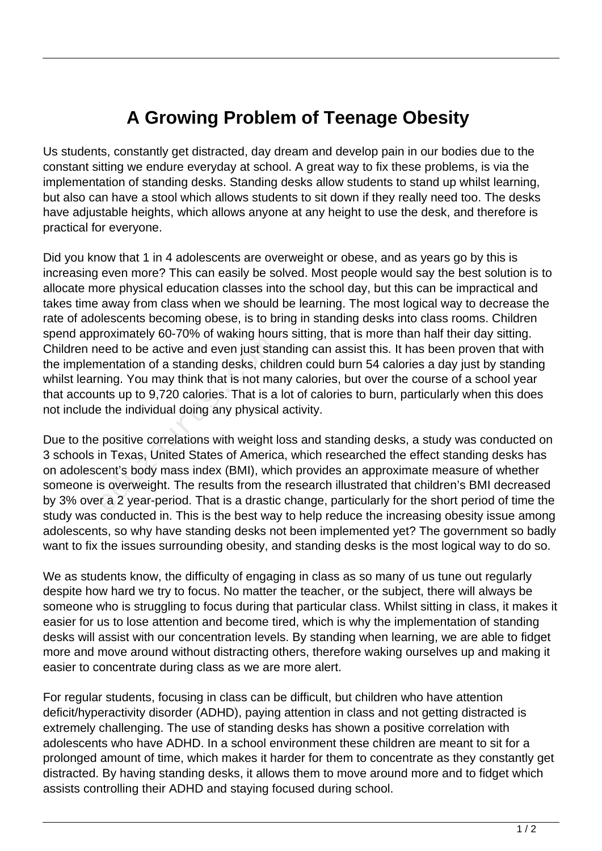## **A Growing Problem of Teenage Obesity**

Us students, constantly get distracted, day dream and develop pain in our bodies due to the constant sitting we endure everyday at school. A great way to fix these problems, is via the implementation of standing desks. Standing desks allow students to stand up whilst learning, but also can have a stool which allows students to sit down if they really need too. The desks have adjustable heights, which allows anyone at any height to use the desk, and therefore is practical for everyone.

Did you know that 1 in 4 adolescents are overweight or obese, and as years go by this is increasing even more? This can easily be solved. Most people would say the best solution is to allocate more physical education classes into the school day, but this can be impractical and takes time away from class when we should be learning. The most logical way to decrease the rate of adolescents becoming obese, is to bring in standing desks into class rooms. Children spend approximately 60-70% of waking hours sitting, that is more than half their day sitting. Children need to be active and even just standing can assist this. It has been proven that with the implementation of a standing desks, children could burn 54 calories a day just by standing whilst learning. You may think that is not many calories, but over the course of a school year that accounts up to 9,720 calories. That is a lot of calories to burn, particularly when this does not include the individual doing any physical activity.

Due to the positive correlations with weight loss and standing desks, a study was conducted on 3 schools in Texas, United States of America, which researched the effect standing desks has on adolescent's body mass index (BMI), which provides an approximate measure of whether someone is overweight. The results from the research illustrated that children's BMI decreased by 3% over a 2 year-period. That is a drastic change, particularly for the short period of time the study was conducted in. This is the best way to help reduce the increasing obesity issue among adolescents, so why have standing desks not been implemented yet? The government so badly want to fix the issues surrounding obesity, and standing desks is the most logical way to do so. eed to be active and even just stand<br>teed to be active and even just stand<br>thing. You may think that is not mants up to 9,720 calories. That is a<br>expected to the individual doing any physical<br>positive correlations with wei

We as students know, the difficulty of engaging in class as so many of us tune out regularly despite how hard we try to focus. No matter the teacher, or the subject, there will always be someone who is struggling to focus during that particular class. Whilst sitting in class, it makes it easier for us to lose attention and become tired, which is why the implementation of standing desks will assist with our concentration levels. By standing when learning, we are able to fidget more and move around without distracting others, therefore waking ourselves up and making it easier to concentrate during class as we are more alert.

For regular students, focusing in class can be difficult, but children who have attention deficit/hyperactivity disorder (ADHD), paying attention in class and not getting distracted is extremely challenging. The use of standing desks has shown a positive correlation with adolescents who have ADHD. In a school environment these children are meant to sit for a prolonged amount of time, which makes it harder for them to concentrate as they constantly get distracted. By having standing desks, it allows them to move around more and to fidget which assists controlling their ADHD and staying focused during school.